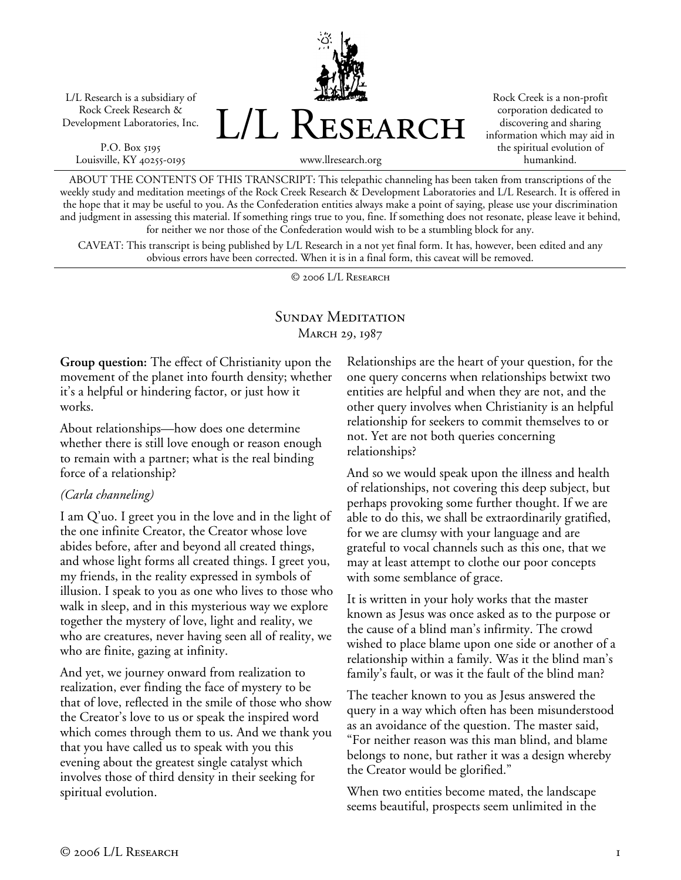L/L Research is a subsidiary of Rock Creek Research & Development Laboratories, Inc.

P.O. Box 5195 Louisville, KY 40255-0195 L/L Research

Rock Creek is a non-profit corporation dedicated to discovering and sharing information which may aid in the spiritual evolution of humankind.

www.llresearch.org

ABOUT THE CONTENTS OF THIS TRANSCRIPT: This telepathic channeling has been taken from transcriptions of the weekly study and meditation meetings of the Rock Creek Research & Development Laboratories and L/L Research. It is offered in the hope that it may be useful to you. As the Confederation entities always make a point of saying, please use your discrimination and judgment in assessing this material. If something rings true to you, fine. If something does not resonate, please leave it behind, for neither we nor those of the Confederation would wish to be a stumbling block for any.

CAVEAT: This transcript is being published by L/L Research in a not yet final form. It has, however, been edited and any obvious errors have been corrected. When it is in a final form, this caveat will be removed.

© 2006 L/L Research

# SUNDAY MEDITATION MARCH 29, 1987

**Group question:** The effect of Christianity upon the movement of the planet into fourth density; whether it's a helpful or hindering factor, or just how it works.

About relationships—how does one determine whether there is still love enough or reason enough to remain with a partner; what is the real binding force of a relationship?

## *(Carla channeling)*

I am Q'uo. I greet you in the love and in the light of the one infinite Creator, the Creator whose love abides before, after and beyond all created things, and whose light forms all created things. I greet you, my friends, in the reality expressed in symbols of illusion. I speak to you as one who lives to those who walk in sleep, and in this mysterious way we explore together the mystery of love, light and reality, we who are creatures, never having seen all of reality, we who are finite, gazing at infinity.

And yet, we journey onward from realization to realization, ever finding the face of mystery to be that of love, reflected in the smile of those who show the Creator's love to us or speak the inspired word which comes through them to us. And we thank you that you have called us to speak with you this evening about the greatest single catalyst which involves those of third density in their seeking for spiritual evolution.

Relationships are the heart of your question, for the one query concerns when relationships betwixt two entities are helpful and when they are not, and the other query involves when Christianity is an helpful relationship for seekers to commit themselves to or not. Yet are not both queries concerning relationships?

And so we would speak upon the illness and health of relationships, not covering this deep subject, but perhaps provoking some further thought. If we are able to do this, we shall be extraordinarily gratified, for we are clumsy with your language and are grateful to vocal channels such as this one, that we may at least attempt to clothe our poor concepts with some semblance of grace.

It is written in your holy works that the master known as Jesus was once asked as to the purpose or the cause of a blind man's infirmity. The crowd wished to place blame upon one side or another of a relationship within a family. Was it the blind man's family's fault, or was it the fault of the blind man?

The teacher known to you as Jesus answered the query in a way which often has been misunderstood as an avoidance of the question. The master said, "For neither reason was this man blind, and blame belongs to none, but rather it was a design whereby the Creator would be glorified."

When two entities become mated, the landscape seems beautiful, prospects seem unlimited in the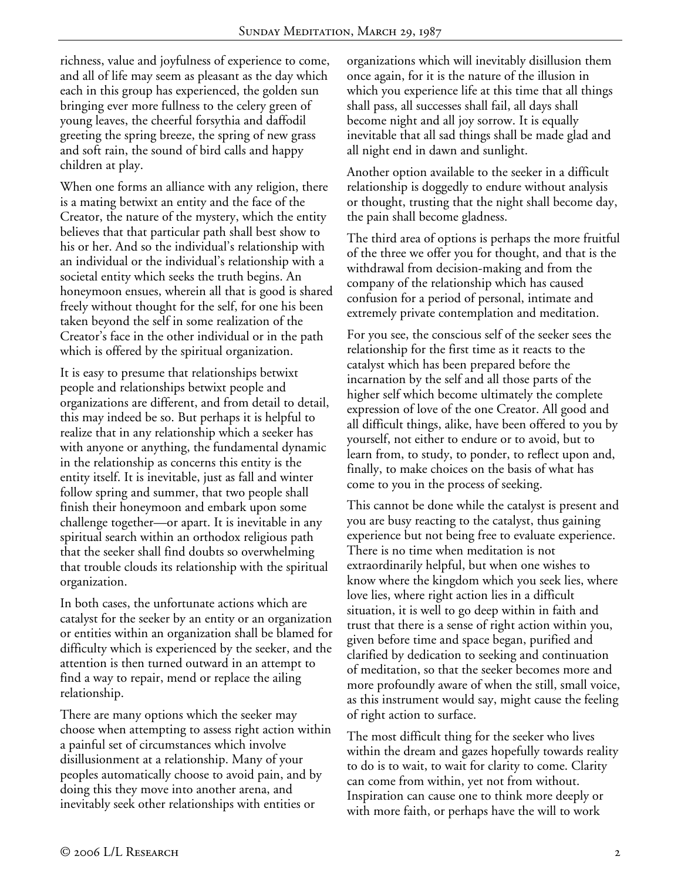richness, value and joyfulness of experience to come, and all of life may seem as pleasant as the day which each in this group has experienced, the golden sun bringing ever more fullness to the celery green of young leaves, the cheerful forsythia and daffodil greeting the spring breeze, the spring of new grass and soft rain, the sound of bird calls and happy children at play.

When one forms an alliance with any religion, there is a mating betwixt an entity and the face of the Creator, the nature of the mystery, which the entity believes that that particular path shall best show to his or her. And so the individual's relationship with an individual or the individual's relationship with a societal entity which seeks the truth begins. An honeymoon ensues, wherein all that is good is shared freely without thought for the self, for one his been taken beyond the self in some realization of the Creator's face in the other individual or in the path which is offered by the spiritual organization.

It is easy to presume that relationships betwixt people and relationships betwixt people and organizations are different, and from detail to detail, this may indeed be so. But perhaps it is helpful to realize that in any relationship which a seeker has with anyone or anything, the fundamental dynamic in the relationship as concerns this entity is the entity itself. It is inevitable, just as fall and winter follow spring and summer, that two people shall finish their honeymoon and embark upon some challenge together—or apart. It is inevitable in any spiritual search within an orthodox religious path that the seeker shall find doubts so overwhelming that trouble clouds its relationship with the spiritual organization.

In both cases, the unfortunate actions which are catalyst for the seeker by an entity or an organization or entities within an organization shall be blamed for difficulty which is experienced by the seeker, and the attention is then turned outward in an attempt to find a way to repair, mend or replace the ailing relationship.

There are many options which the seeker may choose when attempting to assess right action within a painful set of circumstances which involve disillusionment at a relationship. Many of your peoples automatically choose to avoid pain, and by doing this they move into another arena, and inevitably seek other relationships with entities or

organizations which will inevitably disillusion them once again, for it is the nature of the illusion in which you experience life at this time that all things shall pass, all successes shall fail, all days shall become night and all joy sorrow. It is equally inevitable that all sad things shall be made glad and all night end in dawn and sunlight.

Another option available to the seeker in a difficult relationship is doggedly to endure without analysis or thought, trusting that the night shall become day, the pain shall become gladness.

The third area of options is perhaps the more fruitful of the three we offer you for thought, and that is the withdrawal from decision-making and from the company of the relationship which has caused confusion for a period of personal, intimate and extremely private contemplation and meditation.

For you see, the conscious self of the seeker sees the relationship for the first time as it reacts to the catalyst which has been prepared before the incarnation by the self and all those parts of the higher self which become ultimately the complete expression of love of the one Creator. All good and all difficult things, alike, have been offered to you by yourself, not either to endure or to avoid, but to learn from, to study, to ponder, to reflect upon and, finally, to make choices on the basis of what has come to you in the process of seeking.

This cannot be done while the catalyst is present and you are busy reacting to the catalyst, thus gaining experience but not being free to evaluate experience. There is no time when meditation is not extraordinarily helpful, but when one wishes to know where the kingdom which you seek lies, where love lies, where right action lies in a difficult situation, it is well to go deep within in faith and trust that there is a sense of right action within you, given before time and space began, purified and clarified by dedication to seeking and continuation of meditation, so that the seeker becomes more and more profoundly aware of when the still, small voice, as this instrument would say, might cause the feeling of right action to surface.

The most difficult thing for the seeker who lives within the dream and gazes hopefully towards reality to do is to wait, to wait for clarity to come. Clarity can come from within, yet not from without. Inspiration can cause one to think more deeply or with more faith, or perhaps have the will to work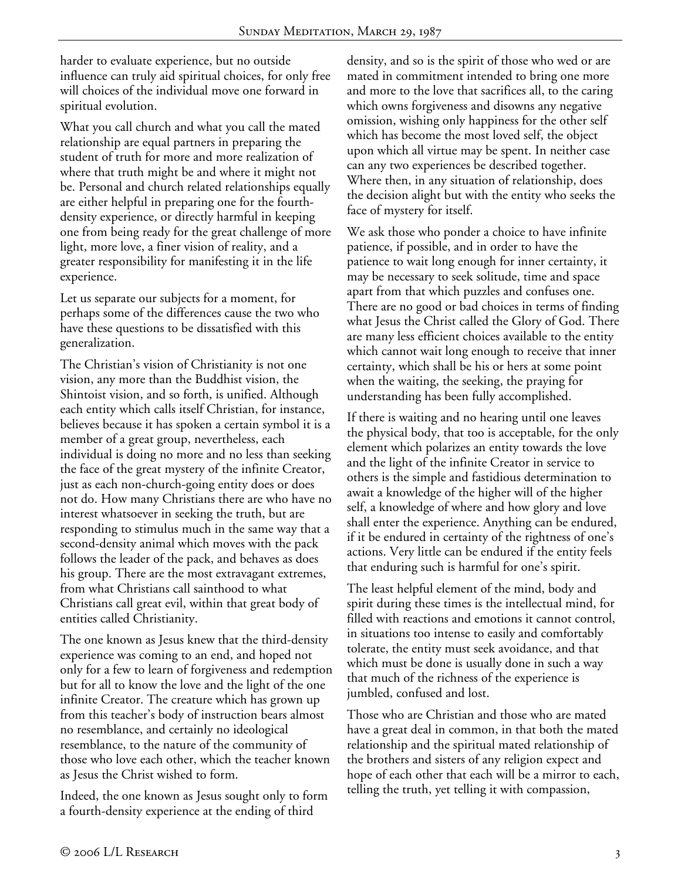harder to evaluate experience, but no outside influence can truly aid spiritual choices, for only free will choices of the individual move one forward in spiritual evolution.

What you call church and what you call the mated relationship are equal partners in preparing the student of truth for more and more realization of where that truth might be and where it might not be. Personal and church related relationships equally are either helpful in preparing one for the fourthdensity experience, or directly harmful in keeping one from being ready for the great challenge of more light, more love, a finer vision of reality, and a greater responsibility for manifesting it in the life experience.

Let us separate our subjects for a moment, for perhaps some of the differences cause the two who have these questions to be dissatisfied with this generalization.

The Christian's vision of Christianity is not one vision, any more than the Buddhist vision, the Shintoist vision, and so forth, is unified. Although each entity which calls itself Christian, for instance, believes because it has spoken a certain symbol it is a member of a great group, nevertheless, each individual is doing no more and no less than seeking the face of the great mystery of the infinite Creator, just as each non-church-going entity does or does not do. How many Christians there are who have no interest whatsoever in seeking the truth, but are responding to stimulus much in the same way that a second-density animal which moves with the pack follows the leader of the pack, and behaves as does his group. There are the most extravagant extremes, from what Christians call sainthood to what Christians call great evil, within that great body of entities called Christianity.

The one known as Jesus knew that the third-density experience was coming to an end, and hoped not only for a few to learn of forgiveness and redemption but for all to know the love and the light of the one infinite Creator. The creature which has grown up from this teacher's body of instruction bears almost no resemblance, and certainly no ideological resemblance, to the nature of the community of those who love each other, which the teacher known as Jesus the Christ wished to form.

Indeed, the one known as Jesus sought only to form a fourth-density experience at the ending of third

density, and so is the spirit of those who wed or are mated in commitment intended to bring one more and more to the love that sacrifices all, to the caring which owns forgiveness and disowns any negative omission, wishing only happiness for the other self which has become the most loved self, the object upon which all virtue may be spent. In neither case can any two experiences be described together. Where then, in any situation of relationship, does the decision alight but with the entity who seeks the face of mystery for itself.

We ask those who ponder a choice to have infinite patience, if possible, and in order to have the patience to wait long enough for inner certainty, it may be necessary to seek solitude, time and space apart from that which puzzles and confuses one. There are no good or bad choices in terms of finding what Jesus the Christ called the Glory of God. There are many less efficient choices available to the entity which cannot wait long enough to receive that inner certainty, which shall be his or hers at some point when the waiting, the seeking, the praying for understanding has been fully accomplished.

If there is waiting and no hearing until one leaves the physical body, that too is acceptable, for the only element which polarizes an entity towards the love and the light of the infinite Creator in service to others is the simple and fastidious determination to await a knowledge of the higher will of the higher self, a knowledge of where and how glory and love shall enter the experience. Anything can be endured, if it be endured in certainty of the rightness of one's actions. Very little can be endured if the entity feels that enduring such is harmful for one's spirit.

The least helpful element of the mind, body and spirit during these times is the intellectual mind, for filled with reactions and emotions it cannot control, in situations too intense to easily and comfortably tolerate, the entity must seek avoidance, and that which must be done is usually done in such a way that much of the richness of the experience is jumbled, confused and lost.

Those who are Christian and those who are mated have a great deal in common, in that both the mated relationship and the spiritual mated relationship of the brothers and sisters of any religion expect and hope of each other that each will be a mirror to each, telling the truth, yet telling it with compassion,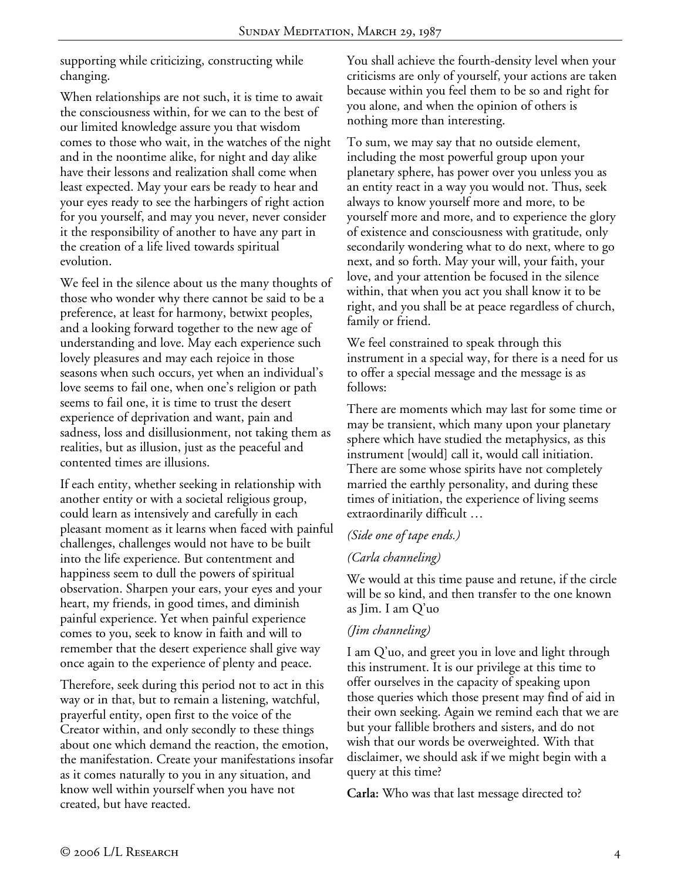supporting while criticizing, constructing while changing.

When relationships are not such, it is time to await the consciousness within, for we can to the best of our limited knowledge assure you that wisdom comes to those who wait, in the watches of the night and in the noontime alike, for night and day alike have their lessons and realization shall come when least expected. May your ears be ready to hear and your eyes ready to see the harbingers of right action for you yourself, and may you never, never consider it the responsibility of another to have any part in the creation of a life lived towards spiritual evolution.

We feel in the silence about us the many thoughts of those who wonder why there cannot be said to be a preference, at least for harmony, betwixt peoples, and a looking forward together to the new age of understanding and love. May each experience such lovely pleasures and may each rejoice in those seasons when such occurs, yet when an individual's love seems to fail one, when one's religion or path seems to fail one, it is time to trust the desert experience of deprivation and want, pain and sadness, loss and disillusionment, not taking them as realities, but as illusion, just as the peaceful and contented times are illusions.

If each entity, whether seeking in relationship with another entity or with a societal religious group, could learn as intensively and carefully in each pleasant moment as it learns when faced with painful challenges, challenges would not have to be built into the life experience. But contentment and happiness seem to dull the powers of spiritual observation. Sharpen your ears, your eyes and your heart, my friends, in good times, and diminish painful experience. Yet when painful experience comes to you, seek to know in faith and will to remember that the desert experience shall give way once again to the experience of plenty and peace.

Therefore, seek during this period not to act in this way or in that, but to remain a listening, watchful, prayerful entity, open first to the voice of the Creator within, and only secondly to these things about one which demand the reaction, the emotion, the manifestation. Create your manifestations insofar as it comes naturally to you in any situation, and know well within yourself when you have not created, but have reacted.

You shall achieve the fourth-density level when your criticisms are only of yourself, your actions are taken because within you feel them to be so and right for you alone, and when the opinion of others is nothing more than interesting.

To sum, we may say that no outside element, including the most powerful group upon your planetary sphere, has power over you unless you as an entity react in a way you would not. Thus, seek always to know yourself more and more, to be yourself more and more, and to experience the glory of existence and consciousness with gratitude, only secondarily wondering what to do next, where to go next, and so forth. May your will, your faith, your love, and your attention be focused in the silence within, that when you act you shall know it to be right, and you shall be at peace regardless of church, family or friend.

We feel constrained to speak through this instrument in a special way, for there is a need for us to offer a special message and the message is as follows:

There are moments which may last for some time or may be transient, which many upon your planetary sphere which have studied the metaphysics, as this instrument [would] call it, would call initiation. There are some whose spirits have not completely married the earthly personality, and during these times of initiation, the experience of living seems extraordinarily difficult …

## *(Side one of tape ends.)*

## *(Carla channeling)*

We would at this time pause and retune, if the circle will be so kind, and then transfer to the one known as Jim. I am Q'uo

## *(Jim channeling)*

I am Q'uo, and greet you in love and light through this instrument. It is our privilege at this time to offer ourselves in the capacity of speaking upon those queries which those present may find of aid in their own seeking. Again we remind each that we are but your fallible brothers and sisters, and do not wish that our words be overweighted. With that disclaimer, we should ask if we might begin with a query at this time?

**Carla:** Who was that last message directed to?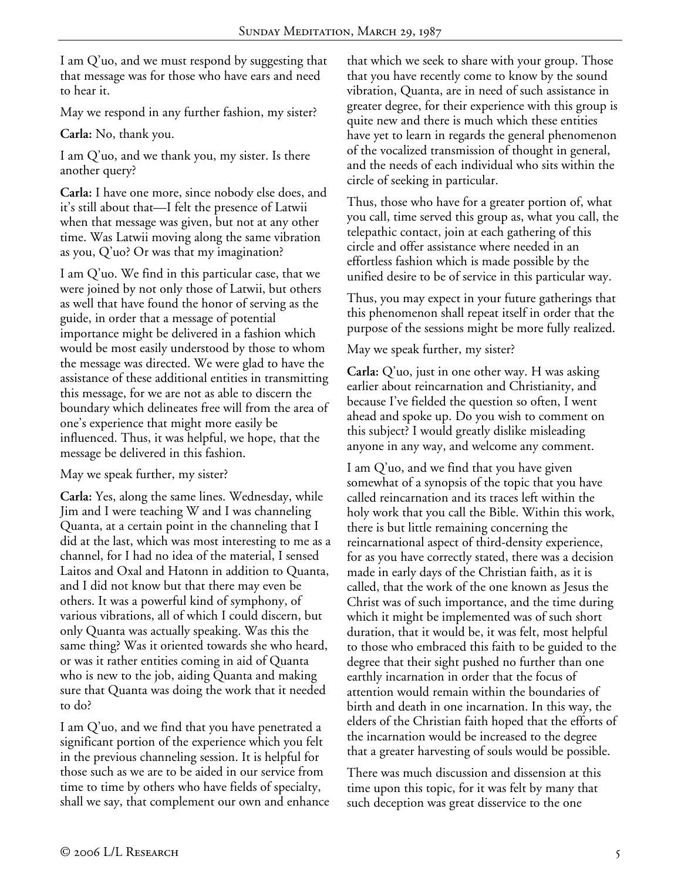I am Q'uo, and we must respond by suggesting that that message was for those who have ears and need to hear it.

May we respond in any further fashion, my sister?

**Carla:** No, thank you.

I am Q'uo, and we thank you, my sister. Is there another query?

**Carla:** I have one more, since nobody else does, and it's still about that—I felt the presence of Latwii when that message was given, but not at any other time. Was Latwii moving along the same vibration as you, Q'uo? Or was that my imagination?

I am Q'uo. We find in this particular case, that we were joined by not only those of Latwii, but others as well that have found the honor of serving as the guide, in order that a message of potential importance might be delivered in a fashion which would be most easily understood by those to whom the message was directed. We were glad to have the assistance of these additional entities in transmitting this message, for we are not as able to discern the boundary which delineates free will from the area of one's experience that might more easily be influenced. Thus, it was helpful, we hope, that the message be delivered in this fashion.

May we speak further, my sister?

**Carla:** Yes, along the same lines. Wednesday, while Jim and I were teaching W and I was channeling Quanta, at a certain point in the channeling that I did at the last, which was most interesting to me as a channel, for I had no idea of the material, I sensed Laitos and Oxal and Hatonn in addition to Quanta, and I did not know but that there may even be others. It was a powerful kind of symphony, of various vibrations, all of which I could discern, but only Quanta was actually speaking. Was this the same thing? Was it oriented towards she who heard, or was it rather entities coming in aid of Quanta who is new to the job, aiding Quanta and making sure that Quanta was doing the work that it needed to do?

I am Q'uo, and we find that you have penetrated a significant portion of the experience which you felt in the previous channeling session. It is helpful for those such as we are to be aided in our service from time to time by others who have fields of specialty, shall we say, that complement our own and enhance

that which we seek to share with your group. Those that you have recently come to know by the sound vibration, Quanta, are in need of such assistance in greater degree, for their experience with this group is quite new and there is much which these entities have yet to learn in regards the general phenomenon of the vocalized transmission of thought in general, and the needs of each individual who sits within the circle of seeking in particular.

Thus, those who have for a greater portion of, what you call, time served this group as, what you call, the telepathic contact, join at each gathering of this circle and offer assistance where needed in an effortless fashion which is made possible by the unified desire to be of service in this particular way.

Thus, you may expect in your future gatherings that this phenomenon shall repeat itself in order that the purpose of the sessions might be more fully realized.

May we speak further, my sister?

**Carla:** Q'uo, just in one other way. H was asking earlier about reincarnation and Christianity, and because I've fielded the question so often, I went ahead and spoke up. Do you wish to comment on this subject? I would greatly dislike misleading anyone in any way, and welcome any comment.

I am Q'uo, and we find that you have given somewhat of a synopsis of the topic that you have called reincarnation and its traces left within the holy work that you call the Bible. Within this work, there is but little remaining concerning the reincarnational aspect of third-density experience, for as you have correctly stated, there was a decision made in early days of the Christian faith, as it is called, that the work of the one known as Jesus the Christ was of such importance, and the time during which it might be implemented was of such short duration, that it would be, it was felt, most helpful to those who embraced this faith to be guided to the degree that their sight pushed no further than one earthly incarnation in order that the focus of attention would remain within the boundaries of birth and death in one incarnation. In this way, the elders of the Christian faith hoped that the efforts of the incarnation would be increased to the degree that a greater harvesting of souls would be possible.

There was much discussion and dissension at this time upon this topic, for it was felt by many that such deception was great disservice to the one